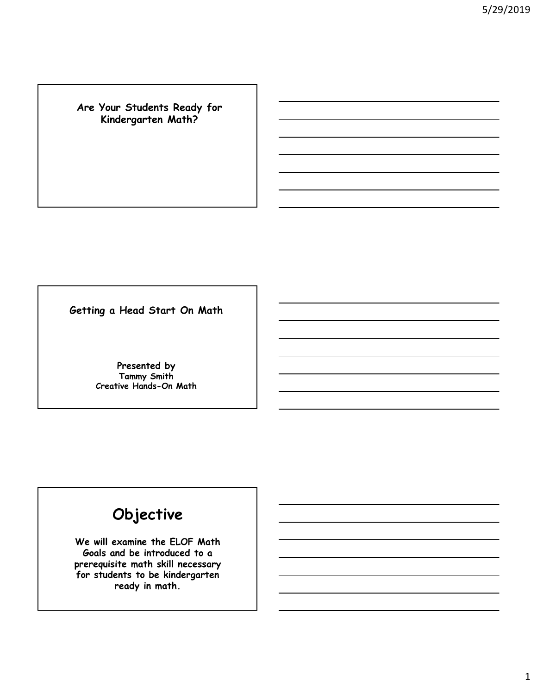**Are Your Students Ready for Kindergarten Math?**

**Getting a Head Start On Math**

**Presented by Tammy Smith Creative Hands-On Math**

# **Objective**

**We will examine the ELOF Math Goals and be introduced to a prerequisite math skill necessary for students to be kindergarten ready in math.**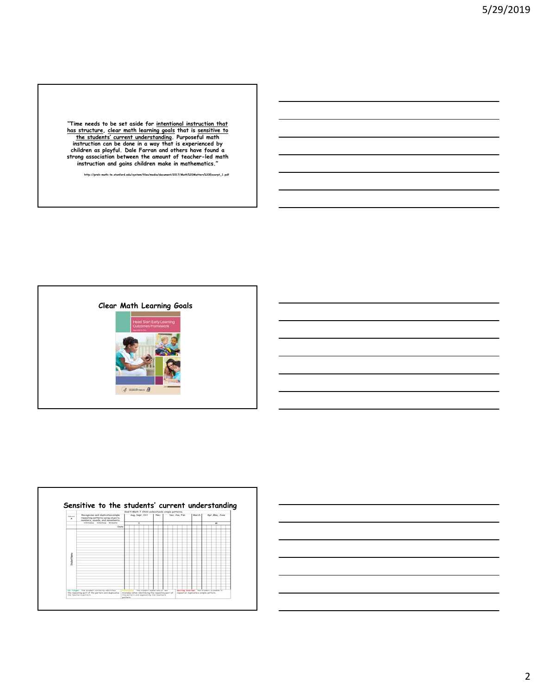"Time needs to be set aside for <u>intentional instruction that</u><br>h<u>as structure</u>, clear math learning goals that is <u>sensitive to</u><br>the students' current understanding. Purposeful math<br>instruction can be done in a way that is

**http://prek-math-te.stanford.edu/system/files/media/document/2017/Math%20Matters%20Excerpt\_1.pdf**

### **Clear Math Learning Goals**



| Recognizes and duplicates simple<br>repeating patterns using objects, |                                                                                                                           |                |                                           | Gool P-Math 7. Child understands simple potterns. |                                                                                 |              |                         |                                                                                       |
|-----------------------------------------------------------------------|---------------------------------------------------------------------------------------------------------------------------|----------------|-------------------------------------------|---------------------------------------------------|---------------------------------------------------------------------------------|--------------|-------------------------|---------------------------------------------------------------------------------------|
| numbers, sounds, and movements.                                       |                                                                                                                           | Aug. Sept. Oct | Navy                                      | Dec. Jan. Feb                                     |                                                                                 | <b>March</b> | Apr. May, June          |                                                                                       |
| Information Collectings McMasher                                      |                                                                                                                           |                |                                           |                                                   |                                                                                 |              | $\overline{\mathbf{M}}$ |                                                                                       |
|                                                                       |                                                                                                                           |                |                                           |                                                   |                                                                                 |              |                         |                                                                                       |
|                                                                       |                                                                                                                           |                |                                           |                                                   |                                                                                 |              |                         |                                                                                       |
|                                                                       | the Turger. The student correctly identifies<br>the repeating part of the pattern and duploutes<br>the teacher's pottern. | <b>Date</b>    | the pattern and duplicating the teacher's |                                                   | The student makes one or two<br>mistakes when identifying the repeating spot of |              |                         | distring drawing. The choicer is unship to<br>repost or duplicate is simple partners. |

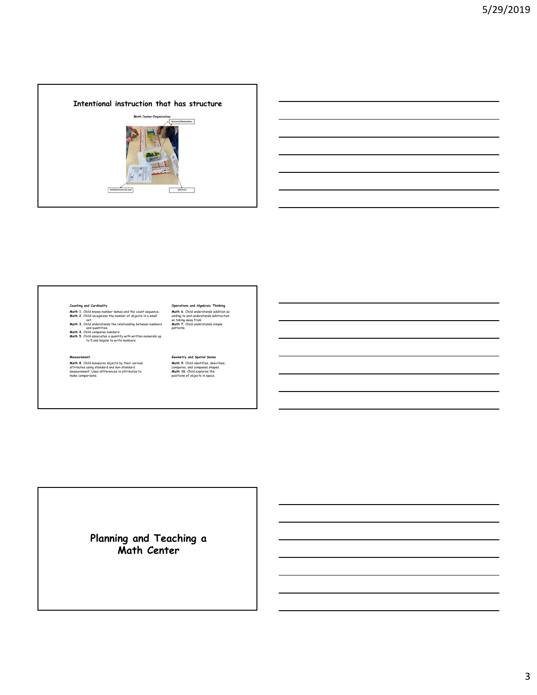

#### **Counting and Cardinality**

- **Math 1.** Child knows number names and the count sequence. **Math 2.** Child recognizes the number of objects in a small
- set.<br>3. Child understands the relationship between numbers<br>3. Child compares numbers.<br>**Math 4.** Child compares numbers.<br>**Math 5.** Child associates a quantity with written numerals up<br>to 5 and begins to write numbers.

#### **Measurement**

**Math 8.** Child measures objects by their various attributes using standard and non-standard measurement. Uses differences in attributes to make comparisons.

### **Operations and Algebraic Thinking** Math 6. Child understands addition as<br>adding to and understands subtraction<br>**Math 7.** Child understands simple<br>patterns.

**Geometry and Spatial Sense<br><b>Math 9.** Child identifies, describes,<br>compares, and composes shapes.<br>**Math 10.** Child explores the<br>positions of objects in space.

**Planning and Teaching a Math Center**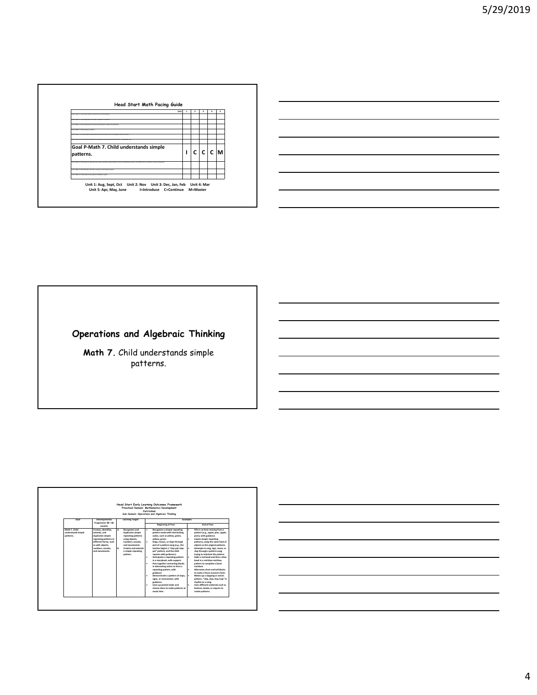



## **Operations and Algebraic Thinking**

**Math 7.** Child understands simple patterns.

| Head Start Early Learning Outcomes Framework<br>Preschool Domain: Mathematics Development<br>Construium<br>Sub-Domain: Operations and Algebraic Thinking |                                                                                                                                                                       |                                                                                                                                                                                               |                            |                                                                                                                                                                                                                                                                                                                                                                                                                                                                                                                                                                                                                                            |                                                                                                                                                                                                                                                                                                                                                                                                                                                                                                                                                                                                                                                                                                                      |  |  |  |  |  |
|----------------------------------------------------------------------------------------------------------------------------------------------------------|-----------------------------------------------------------------------------------------------------------------------------------------------------------------------|-----------------------------------------------------------------------------------------------------------------------------------------------------------------------------------------------|----------------------------|--------------------------------------------------------------------------------------------------------------------------------------------------------------------------------------------------------------------------------------------------------------------------------------------------------------------------------------------------------------------------------------------------------------------------------------------------------------------------------------------------------------------------------------------------------------------------------------------------------------------------------------------|----------------------------------------------------------------------------------------------------------------------------------------------------------------------------------------------------------------------------------------------------------------------------------------------------------------------------------------------------------------------------------------------------------------------------------------------------------------------------------------------------------------------------------------------------------------------------------------------------------------------------------------------------------------------------------------------------------------------|--|--|--|--|--|
| Goal                                                                                                                                                     | Developmental<br>Progression 48-60<br>months                                                                                                                          | <b>Learning Target</b>                                                                                                                                                                        |                            | <b>Beginning of Year</b>                                                                                                                                                                                                                                                                                                                                                                                                                                                                                                                                                                                                                   | Examples<br><b>Find of Year</b>                                                                                                                                                                                                                                                                                                                                                                                                                                                                                                                                                                                                                                                                                      |  |  |  |  |  |
| Math 7. Child<br>understands simple<br>patterns.                                                                                                         | Creates, identifies,<br>extends, and<br>duplicates simple<br>repeating patterns in<br>different forms, such<br>as with objects.<br>numbers, sounds.<br>and movements. | Recognizes and<br>А.<br>duolicates simple<br>repeating patterns<br>using objects.<br>numbers, sounds.<br>and movements.<br>в.<br><b>Creates and extends</b><br>a simple repeating<br>pattern. | ٠<br>٠<br>٠<br>٠<br>٠<br>٠ | Recognizes a simple repeating<br>pattern made with interlocking<br>cubes, such as vellow, green.<br>yellow, green.<br>Sings, moves, or claps through<br>part of a pattern song (e.g., the<br>teacher begins a "clap-pat-clap-<br>pat" pattern, and the child<br>repeats with guidance.)<br>Anticipates a repeating pattern<br>in a storybook, with support.<br>Puts together connecting blocks<br>in alternating colors to form a<br>repeating pattern, with<br>guidance.<br>Demonstrates a pattern of claps.<br>sizes, or movements, with<br>guidance.<br>Lines up pretzel sticks and<br>cheese slices to make patterns at<br>snark time. | Fills in an item missing from a<br>٠<br>pattern (e.g., apple, pear, apple,<br>pear), with guidance.<br>٠<br>Copies simple repeating<br>patterns, using the same kind of<br>objects as the original patterns.<br>٠<br>Attempts to sing, sign, move, or<br>clap through a pattern song.<br>trying to maintain the pattern.<br>Adds a red head and then a hive<br>٠<br>head in a red.hlue.red.hlue<br>pattern to complete a bead<br>nerklare<br>Alternates short and tall hinriss<br>٠<br>to make a fence around a farm.<br>Makes up a clapping or action<br>۰<br>pattern, "clap, clap, hop, hop" in<br>rhythm to a song.<br>Hope different materials such as<br>٠<br>buttons, beads, or sequins to<br>create patterns. |  |  |  |  |  |

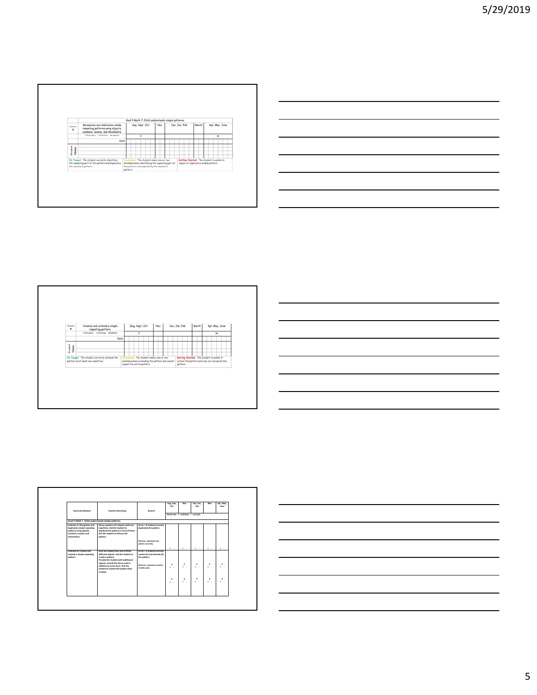|                              |                                                                                                                           |                       | Goal P-Math 7. Child understands simple patterns.                                            |               |                              |  |                           |                                                                                   |  |  |    |  |
|------------------------------|---------------------------------------------------------------------------------------------------------------------------|-----------------------|----------------------------------------------------------------------------------------------|---------------|------------------------------|--|---------------------------|-----------------------------------------------------------------------------------|--|--|----|--|
| <b>Industry</b><br>$\lambda$ | Recognizes and duplicates simple<br>repeating patterns using objects.<br>numbers, sounds, and movements.                  | Aug. Sept. Oct<br>Nov |                                                                                              | Dec, Jan, Feb |                              |  | March<br>Apr., May, June. |                                                                                   |  |  |    |  |
|                              | Inference Collections McMaster                                                                                            |                       |                                                                                              | r             |                              |  |                           |                                                                                   |  |  | M. |  |
|                              | Dete                                                                                                                      |                       |                                                                                              |               |                              |  |                           |                                                                                   |  |  |    |  |
| Student                      |                                                                                                                           |                       |                                                                                              |               |                              |  |                           |                                                                                   |  |  |    |  |
|                              | On Target: The student correctly identifies<br>the repeating port of the pattern and diplicates<br>the teacher's pettern. | pattern.              | mistakes when identifying the repeating part of<br>the pattern and duplicating the teacher's |               | The student makes one or two |  |                           | Getting Started The student is unable to<br>repeat or diplicate a simple pottern. |  |  |    |  |

| Indicator<br>a  | Creates and extends a simple<br>repeating pattern.                                 |                                                                                                                          |  | Aug. Sept, Oct |  | Nov                                                                                      |  | Dec, Jon, Feb | March |  | Apr., May, June |  |
|-----------------|------------------------------------------------------------------------------------|--------------------------------------------------------------------------------------------------------------------------|--|----------------|--|------------------------------------------------------------------------------------------|--|---------------|-------|--|-----------------|--|
|                 | <b>Schneduce Collection McMaster</b>                                               |                                                                                                                          |  | r              |  |                                                                                          |  |               |       |  | AA.             |  |
|                 |                                                                                    | Date                                                                                                                     |  |                |  |                                                                                          |  |               |       |  |                 |  |
| Student<br>Nome |                                                                                    |                                                                                                                          |  |                |  |                                                                                          |  |               |       |  |                 |  |
|                 | On Target The student correctly extends the<br>pattern by at least one repetition. | The student makes one or two<br>mistokes when extending the pettern and cannot<br>repeat the entire pattern.<br>pettern. |  |                |  | Getting Started The student is unable to<br>extend the pattern and may not recognize the |  |               |       |  |                 |  |

|                                                   |                                                                            |                               | Aug, Sep,<br>Oct                   | Nov                  | Dec. Jan.<br>Feb.    | Mar                  | Apr. May.<br><b>bona</b> |  |  |
|---------------------------------------------------|----------------------------------------------------------------------------|-------------------------------|------------------------------------|----------------------|----------------------|----------------------|--------------------------|--|--|
| <b>Goal and Indicator</b>                         | <b>Teacher Does/Says</b>                                                   | Record                        |                                    |                      |                      |                      |                          |  |  |
|                                                   |                                                                            |                               | Circle one + - mastery - - not yet |                      |                      |                      |                          |  |  |
| Goal P-Math 7. Child understands simple patterns. |                                                                            |                               |                                    |                      |                      |                      |                          |  |  |
| Indicator A: Recognizes and                       | Show a pattern of 3 objects with one                                       | Circle + if student correctly |                                    |                      |                      |                      |                          |  |  |
| duplicates simple repeating                       | repetition. Ask the student to                                             | duplicates the pattern.       |                                    |                      |                      |                      |                          |  |  |
| patterns using objects,<br>numbers, sounds, and   | duplicate the pattern in front of them.<br>Ask the student to tell you the |                               |                                    |                      |                      |                      |                          |  |  |
| movements.                                        | pattern.                                                                   |                               |                                    |                      |                      |                      |                          |  |  |
|                                                   |                                                                            | Mastery+ duplicates the       |                                    |                      |                      |                      |                          |  |  |
|                                                   |                                                                            | pattern correctly.            |                                    |                      |                      |                      |                          |  |  |
|                                                   |                                                                            |                               |                                    |                      |                      |                      |                          |  |  |
| Indicator B: Creates and                          | Give the student two sets of three                                         | Circle + if student correctly | $\ddot{\phantom{1}}$               | $\ddot{\phantom{1}}$ | $+ -$                | $\ddot{\phantom{1}}$ | $\ddot{\phantom{1}}$     |  |  |
| extends a simple repeating                        | different objects. Ask the student to                                      | creates (C) and extends (E)   |                                    |                      |                      |                      |                          |  |  |
| pattern.                                          | create a pattern.                                                          | the pattern.                  |                                    |                      |                      |                      |                          |  |  |
|                                                   | Provide the student with additional                                        |                               |                                    |                      |                      |                      |                          |  |  |
|                                                   | objects, include the three used in                                         | Mastery+ responds correctly   | c.                                 | c.                   | c                    | c                    | c                        |  |  |
|                                                   | addition to some more Ask the<br>student to extend the pattern they        | to both parts.                | $\ddot{\phantom{1}}$               | $\ddot{\phantom{1}}$ | $\ddot{\phantom{1}}$ | $\ddot{\phantom{1}}$ | $\ddot{\phantom{1}}$     |  |  |
|                                                   | created.                                                                   |                               |                                    |                      |                      |                      |                          |  |  |
|                                                   |                                                                            |                               |                                    |                      |                      |                      |                          |  |  |
|                                                   |                                                                            |                               |                                    | £                    | Ε                    | ε                    | ε                        |  |  |
|                                                   |                                                                            |                               | $\ddot{\phantom{1}}$               | $\ddot{\phantom{a}}$ | $\ddotsc$            | $\ddot{\phantom{1}}$ | $\ddot{\phantom{1}}$     |  |  |
|                                                   |                                                                            |                               |                                    |                      |                      |                      |                          |  |  |
|                                                   |                                                                            |                               |                                    |                      |                      |                      |                          |  |  |
|                                                   |                                                                            |                               |                                    |                      |                      |                      |                          |  |  |



<u> 1989 - Johann Barn, mars ann an t-Amhain an t-Amhain an t-Amhain an t-Amhain an t-Amhain an t-Amhain an t-Amh</u>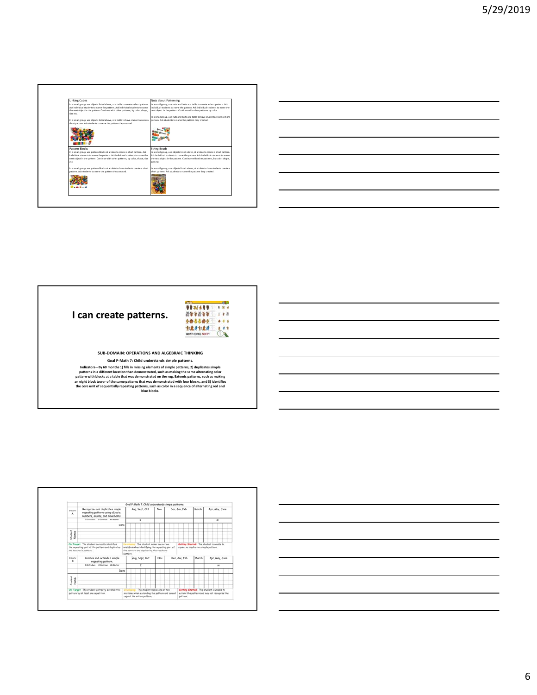| <b>Linking Cubes</b>                                                                                                                                                                                                                                             | Nuts about Patterning                                                                                                                                                                                                                                                                                                   |
|------------------------------------------------------------------------------------------------------------------------------------------------------------------------------------------------------------------------------------------------------------------|-------------------------------------------------------------------------------------------------------------------------------------------------------------------------------------------------------------------------------------------------------------------------------------------------------------------------|
| In a small group, use objects listed above, at a table to create a short pattern.<br>Ask individual students to name the pattern. Ask individual students to name<br>the next object in the pattern. Continue with other patterns, by color, shape,<br>cizo etc. | In a small group, use nuts and bolts at a table to create a short pattern. Ask<br>individual students to name the pattern. Ask individual students to name the<br>next object in the pattern. Continue with other patterns by color.<br>In a small group, use nuts and bolts at a table to have students create a short |
| In a small group, use objects listed above, at a table to have students create a<br>short pattern. Ask students to name the pattern they created.                                                                                                                | pattern. Ask students to name the pattern they created.                                                                                                                                                                                                                                                                 |
|                                                                                                                                                                                                                                                                  |                                                                                                                                                                                                                                                                                                                         |
| Pattern Blocks                                                                                                                                                                                                                                                   | <b>String Beads</b>                                                                                                                                                                                                                                                                                                     |
| In a small group, use pattern blocks at a table to create a short pattern. Ask<br>individual students to name the pattern. Ask individual students to name the<br>next object in the pattern. Continue with other patterns, by color, shape, size<br>etc.        | In a small group, use objects listed above, at a table to create a short pattern.<br>Ask individual students to name the pattern, Ask individual students to name<br>the next object in the pattern. Continue with other patterns, by color, shape.<br>size etc.                                                        |
| In a small group, use pattern blocks at a table to have students create a short<br>pattern. Ask students to name the pattern they created.                                                                                                                       | In a small group, use objects listed above, at a table to have students create a<br>short pattern. Ask students to name the pattern they created.                                                                                                                                                                       |
|                                                                                                                                                                                                                                                                  |                                                                                                                                                                                                                                                                                                                         |





Indicators—9y 60 months 1) fills in missing elements of simple patterns, 2) duplicates simple<br>patterns in a different location than demonstrated , such as making the same alternating color<br>patterns in a different location